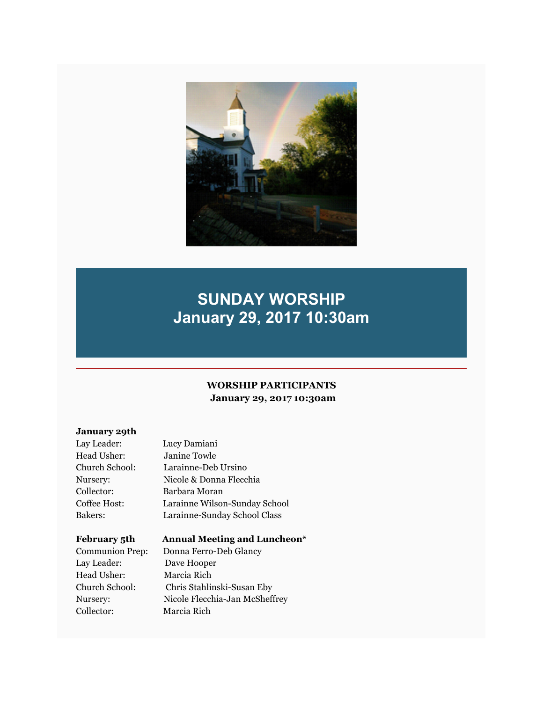

# **SUNDAY WORSHIP January 29, 2017 10:30am**

#### **WORSHIP PARTICIPANTS January 29, 2017 10:30am**

#### **January 29th**

| Janine Towle<br>Head Usher:<br>Larainne-Deb Ursino<br>Church School:<br>Nicole & Donna Flecchia<br>Nurserv:<br>Collector:<br>Barbara Moran<br>Coffee Host:<br>Larainne Wilson-Sunday School<br>Bakers:<br>Larainne-Sunday School Class | Lay Leader: | Lucy Damiani |
|----------------------------------------------------------------------------------------------------------------------------------------------------------------------------------------------------------------------------------------|-------------|--------------|
|                                                                                                                                                                                                                                        |             |              |
|                                                                                                                                                                                                                                        |             |              |
|                                                                                                                                                                                                                                        |             |              |
|                                                                                                                                                                                                                                        |             |              |
|                                                                                                                                                                                                                                        |             |              |
|                                                                                                                                                                                                                                        |             |              |

#### **February 5th Annual Meeting and Luncheon\***

Communion Prep: Donna Ferro-Deb Glancy Lay Leader: Dave Hooper Head Usher: Marcia Rich Collector: Marcia Rich

Church School: Chris Stahlinski-Susan Eby Nursery: Nicole Flecchia-Jan McSheffrey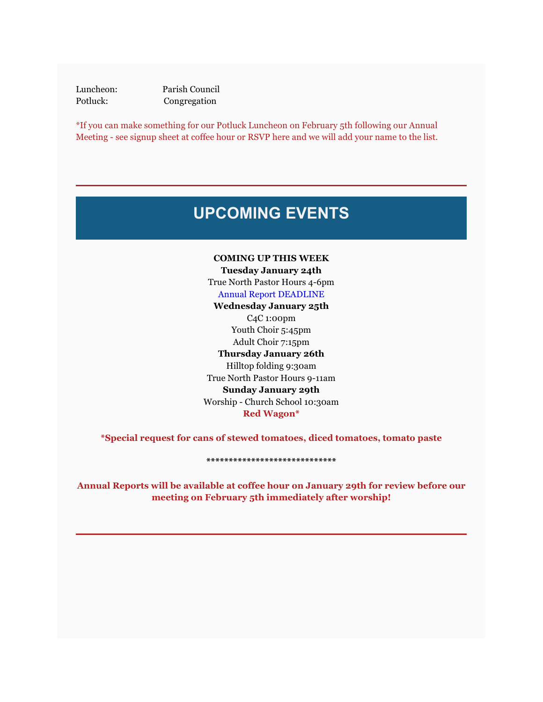Luncheon: Parish Council Potluck: Congregation

\*If you can make something for our Potluck Luncheon on February 5th following our Annual Meeting - see signup sheet at coffee hour or RSVP here and we will add your name to the list.

## **UPCOMING EVENTS**

**COMING UP THIS WEEK Tuesday January 24th** True North Pastor Hours 4-6pm Annual Report DEADLINE

**Wednesday January 25th** C4C 1:00pm Youth Choir 5:45pm Adult Choir 7:15pm **Thursday January 26th** Hilltop folding 9:30am True North Pastor Hours 9-11am **Sunday January 29th** Worship - Church School 10:30am **Red Wagon\***

**\*Special request for cans of stewed tomatoes, diced tomatoes, tomato paste**

#### **\*\*\*\*\*\*\*\*\*\*\*\*\*\*\*\*\*\*\*\*\*\*\*\*\*\*\*\*\***

**Annual Reports will be available at coffee hour on January 29th for review before our meeting on February 5th immediately after worship!**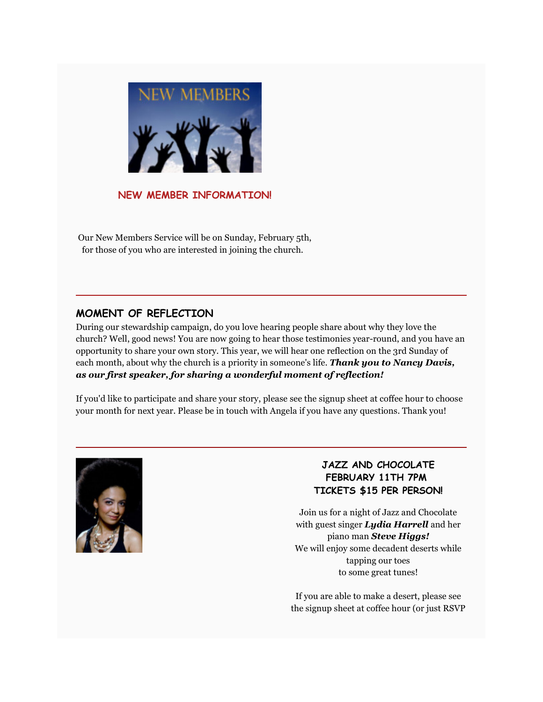

#### **NEW MEMBER INFORMATION!**

Our New Members Service will be on Sunday, February 5th, for those of you who are interested in joining the church.

#### **MOMENT OF REFLECTION**

During our stewardship campaign, do you love hearing people share about why they love the church? Well, good news! You are now going to hear those testimonies year-round, and you have an opportunity to share your own story. This year, we will hear one reflection on the 3rd Sunday of each month, about why the church is a priority in someone's life. *Thank you to Nancy Davis, as our first speaker, for sharing a wonderful moment of reflection!*

If you'd like to participate and share your story, please see the signup sheet at coffee hour to choose your month for next year. Please be in touch with Angela if you have any questions. Thank you!



### **JAZZ AND CHOCOLATE FEBRUARY 11TH 7PM TICKETS \$15 PER PERSON!**

Join us for a night of Jazz and Chocolate with guest singer *Lydia Harrell* and her piano man *Steve Higgs!* We will enjoy some decadent deserts while tapping our toes to some great tunes!

If you are able to make a desert, please see the signup sheet at coffee hour (or just RSVP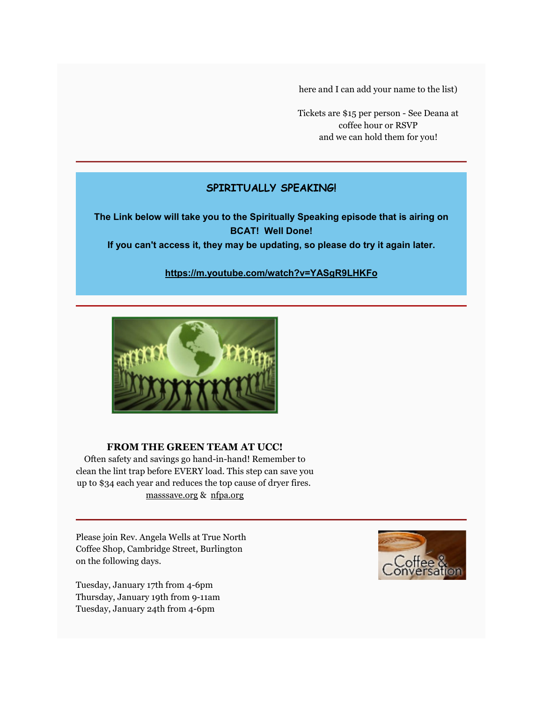here and I can add your name to the list)

Tickets are \$15 per person - See Deana at coffee hour or RSVP and we can hold them for you!

## **SPIRITUALLY SPEAKING!**

**The Link below will take you to the Spiritually Speaking episode that is airing on BCAT! Well Done! If you can't access it, they may be updating, so please do try it again later.**

#### **https://m.youtube.com/watch?v=YASgR9LHKFo**



#### **FROM THE GREEN TEAM AT UCC!**

Often safety and savings go hand-in-hand! Remember to clean the lint trap before EVERY load. This step can save you up to \$34 each year and reduces the top cause of dryer fires. masssave.org & nfpa.org

Please join Rev. Angela Wells at True North Coffee Shop, Cambridge Street, Burlington on the following days.

Tuesday, January 17th from 4-6pm Thursday, January 19th from 9-11am Tuesday, January 24th from 4-6pm

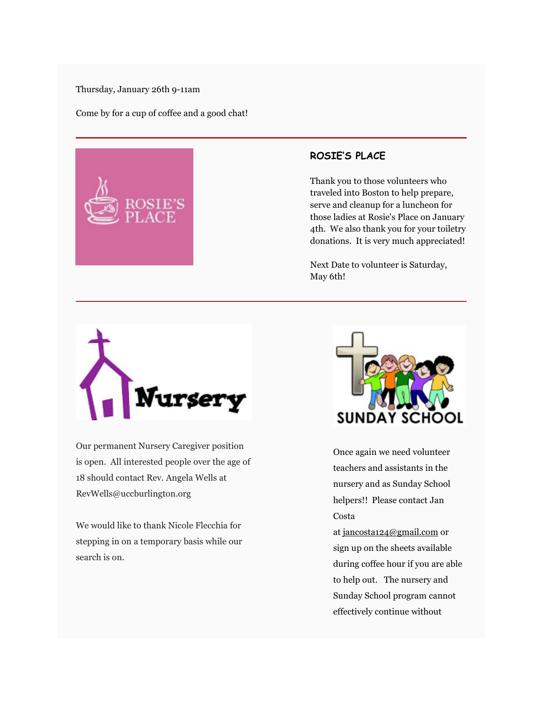#### Thursday, January 26th 9-11am

Come by for a cup of coffee and a good chat!



#### **ROSIE'S PLACE**

Thank you to those volunteers who traveled into Boston to help prepare, serve and cleanup for a luncheon for those ladies at Rosie's Place on January 4th. We also thank you for your toiletry donations. It is very much appreciated!

Next Date to volunteer is Saturday, May 6th!



Our permanent Nursery Caregiver position is open. All interested people over the age of 18 should contact Rev. Angela Wells at RevWells@uccburlington.org

We would like to thank Nicole Flecchia for stepping in on a temporary basis while our search is on.



Once again we need volunteer teachers and assistants in the nursery and as Sunday School helpers!! Please contact Jan Costa

at jancosta124@gmail.com or sign up on the sheets available during coffee hour if you are able to help out. The nursery and Sunday School program cannot effectively continue without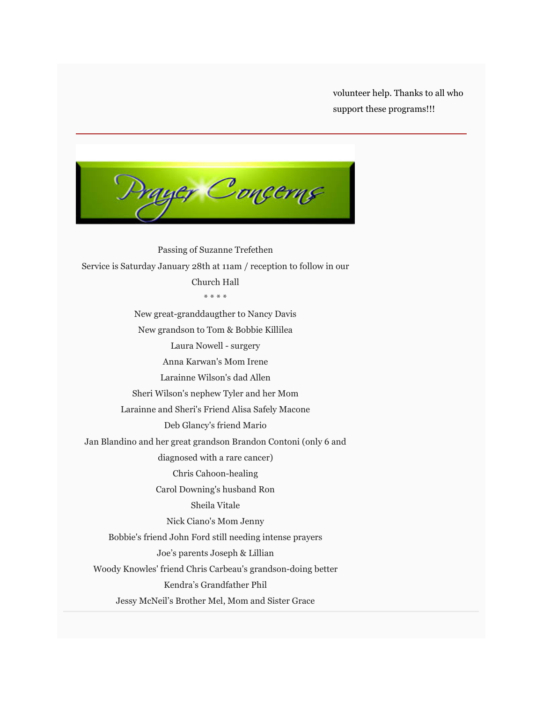volunteer help. Thanks to all who support these programs!!!

yer Conçerns

Passing of Suzanne Trefethen Service is Saturday January 28th at 11am / reception to follow in our Church Hall \* \* \* \* New great-granddaugther to Nancy Davis New grandson to Tom & Bobbie Killilea Laura Nowell - surgery Anna Karwan's Mom Irene Larainne Wilson's dad Allen Sheri Wilson's nephew Tyler and her Mom Larainne and Sheri's Friend Alisa Safely Macone Deb Glancy's friend Mario Jan Blandino and her great grandson Brandon Contoni (only 6 and diagnosed with a rare cancer) Chris Cahoon-healing Carol Downing's husband Ron Sheila Vitale Nick Ciano's Mom Jenny Bobbie's friend John Ford still needing intense prayers Joe's parents Joseph & Lillian Woody Knowles' friend Chris Carbeau's grandson-doing better Kendra's Grandfather Phil Jessy McNeil's Brother Mel, Mom and Sister Grace